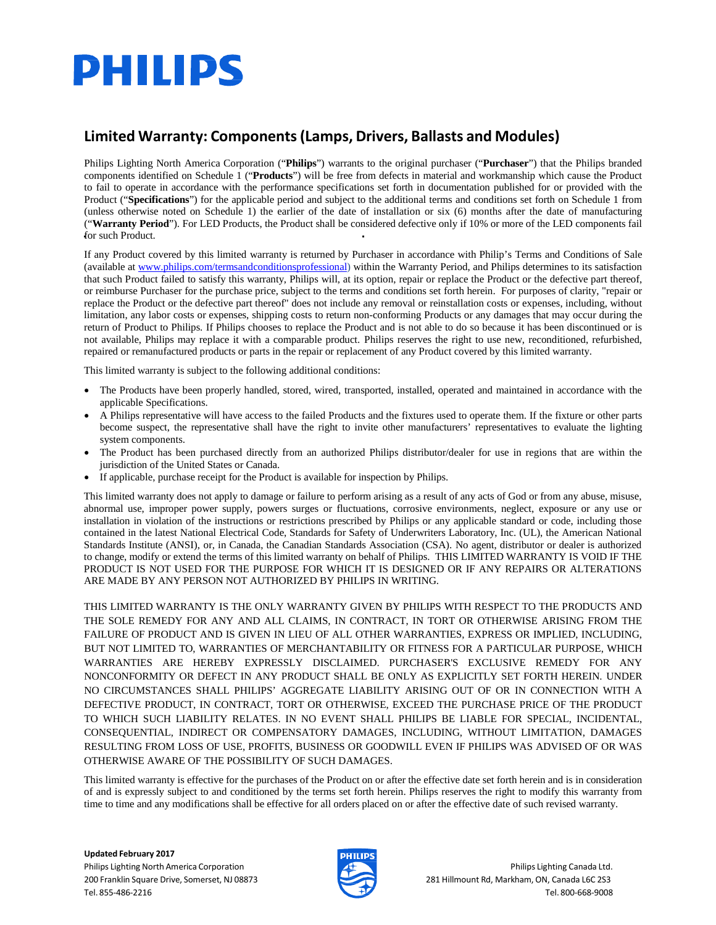# **PHILIPS**

### **Limited Warranty: Components(Lamps, Drivers, Ballasts and Modules)**

Philips Lighting North America Corporation ("**Philips**") warrants to the original purchaser ("**Purchaser**") that the Philips branded components identified on Schedule 1 ("**Products**") will be free from defects in material and workmanship which cause the Product to fail to operate in accordance with the performance specifications set forth in documentation published for or provided with the Product ("**Specifications**") for the applicable period and subject to the additional terms and conditions set forth on Schedule 1 from (unless otherwise noted on Schedule 1) the earlier of the date of installation or six (6) months after the date of manufacturing ("**Warranty Period**"). For LED Products, the Product shall be considered defective only if 10% or more of the LED components fail for such Product.

If any Product covered by this limited warranty is returned by Purchaser in accordance with Philip's Terms and Conditions of Sale (available at [www.philips.com/termsandconditionsprofessional\)](http://www.philips.com/termsandconditionsprofessional)) within the Warranty Period, and Philips determines to its satisfaction that such Product failed to satisfy this warranty, Philips will, at its option, repair or replace the Product or the defective part thereof, or reimburse Purchaser for the purchase price, subject to the terms and conditions set forth herein. For purposes of clarity, "repair or replace the Product or the defective part thereof" does not include any removal or reinstallation costs or expenses, including, without limitation, any labor costs or expenses, shipping costs to return non-conforming Products or any damages that may occur during the return of Product to Philips. If Philips chooses to replace the Product and is not able to do so because it has been discontinued or is not available, Philips may replace it with a comparable product. Philips reserves the right to use new, reconditioned, refurbished, repaired or remanufactured products or parts in the repair or replacement of any Product covered by this limited warranty.

This limited warranty is subject to the following additional conditions:

- The Products have been properly handled, stored, wired, transported, installed, operated and maintained in accordance with the applicable Specifications.
- A Philips representative will have access to the failed Products and the fixtures used to operate them. If the fixture or other parts become suspect, the representative shall have the right to invite other manufacturers' representatives to evaluate the lighting system components.
- The Product has been purchased directly from an authorized Philips distributor/dealer for use in regions that are within the jurisdiction of the United States or Canada.
- If applicable, purchase receipt for the Product is available for inspection by Philips.

This limited warranty does not apply to damage or failure to perform arising as a result of any acts of God or from any abuse, misuse, abnormal use, improper power supply, powers surges or fluctuations, corrosive environments, neglect, exposure or any use or installation in violation of the instructions or restrictions prescribed by Philips or any applicable standard or code, including those contained in the latest National Electrical Code, Standards for Safety of Underwriters Laboratory, Inc. (UL), the American National Standards Institute (ANSI), or, in Canada, the Canadian Standards Association (CSA). No agent, distributor or dealer is authorized to change, modify or extend the terms of this limited warranty on behalf of Philips. THIS LIMITED WARRANTY IS VOID IF THE PRODUCT IS NOT USED FOR THE PURPOSE FOR WHICH IT IS DESIGNED OR IF ANY REPAIRS OR ALTERATIONS ARE MADE BY ANY PERSON NOT AUTHORIZED BY PHILIPS IN WRITING.

THIS LIMITED WARRANTY IS THE ONLY WARRANTY GIVEN BY PHILIPS WITH RESPECT TO THE PRODUCTS AND THE SOLE REMEDY FOR ANY AND ALL CLAIMS, IN CONTRACT, IN TORT OR OTHERWISE ARISING FROM THE FAILURE OF PRODUCT AND IS GIVEN IN LIEU OF ALL OTHER WARRANTIES, EXPRESS OR IMPLIED, INCLUDING, BUT NOT LIMITED TO, WARRANTIES OF MERCHANTABILITY OR FITNESS FOR A PARTICULAR PURPOSE, WHICH WARRANTIES ARE HEREBY EXPRESSLY DISCLAIMED. PURCHASER'S EXCLUSIVE REMEDY FOR ANY NONCONFORMITY OR DEFECT IN ANY PRODUCT SHALL BE ONLY AS EXPLICITLY SET FORTH HEREIN. UNDER NO CIRCUMSTANCES SHALL PHILIPS' AGGREGATE LIABILITY ARISING OUT OF OR IN CONNECTION WITH A DEFECTIVE PRODUCT, IN CONTRACT, TORT OR OTHERWISE, EXCEED THE PURCHASE PRICE OF THE PRODUCT TO WHICH SUCH LIABILITY RELATES. IN NO EVENT SHALL PHILIPS BE LIABLE FOR SPECIAL, INCIDENTAL, CONSEQUENTIAL, INDIRECT OR COMPENSATORY DAMAGES, INCLUDING, WITHOUT LIMITATION, DAMAGES RESULTING FROM LOSS OF USE, PROFITS, BUSINESS OR GOODWILL EVEN IF PHILIPS WAS ADVISED OF OR WAS OTHERWISE AWARE OF THE POSSIBILITY OF SUCH DAMAGES.

This limited warranty is effective for the purchases of the Product on or after the effective date set forth herein and is in consideration of and is expressly subject to and conditioned by the terms set forth herein. Philips reserves the right to modify this warranty from time to time and any modifications shall be effective for all orders placed on or after the effective date of such revised warranty.

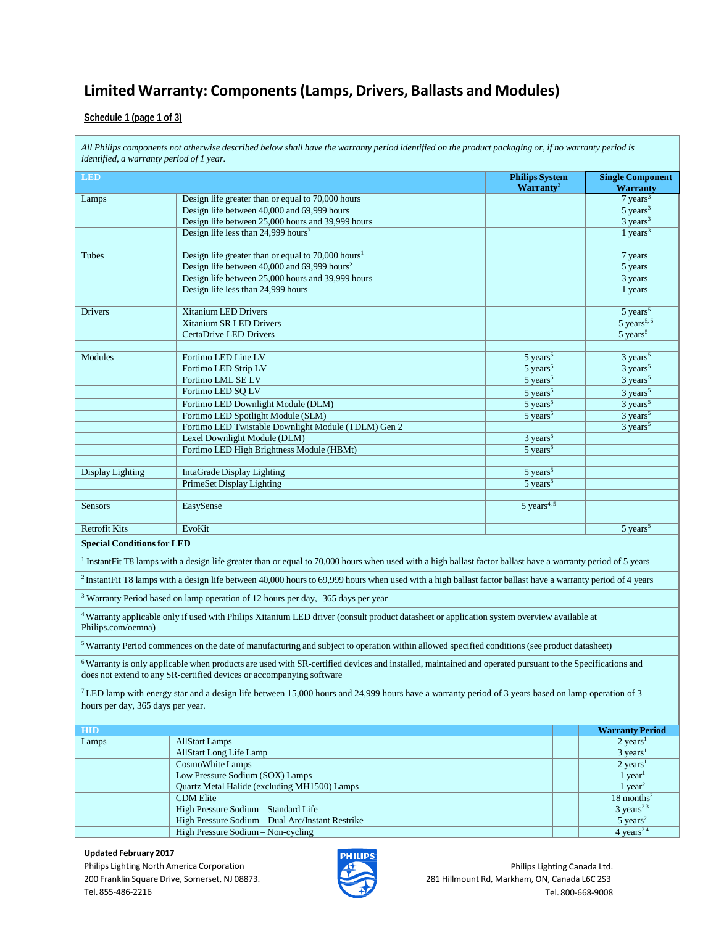#### **Schedule 1 (page 1 of 3)**

All Philips components not otherwise described below shall have the warranty period identified on the product packaging or, if no warranty period is *identified, a warranty period of 1 year.* **LED Philips System Warranty**<sup>3</sup> **Single Component Warranty** Lamps Design life greater than or equal to 70,000 hours 7 years<sup>3</sup> 7 years<sup>3</sup> Design life between 40,000 and 69,999 hours 5 years<sup>3</sup> 5 years<sup>3</sup> Design life between 25,000 hours and 39,999 hours 3 years<sup>3</sup> and 39,999 hours 3 years<sup>3</sup> Design life less than 24,999 hours<sup>7</sup> 1 years<sup>3</sup> Tubes Design life greater than or equal to 70,000 hours<sup>1</sup> 7 years 7 years Design life between 40,000 and 69,999 hours<sup>2</sup> 5 years 5 years Design life between 25,000 hours and 39,999 hours 3 years 3 years 3 years 3 years 3 years 3 years 3 years 3 years 3 years 3 years 3 years 3 years 3 years 3 years 3 years 3 years 3 years 3 years 3 years 3 years 3 years 3 ye Design life less than 24,999 hours 1 years 1 years 1 years 1 years 1 years 1 years 1 years 1 years 1 years 1 years 1 years 1 years 1 years 1 years 1 years 1 years 1 years 1 years 1 years 1 years 1 years 1 years 1 years 1 y **Drivers 3 21 Strandom LED Drivers 3 21 Strandom LED Drivers 3 Strandom LED Drivers 3 Strandom LED Drivers 3 Strandom LED Drivers 3 Strandom LED Drivers 3 Strandom LED Drivers 3 Strandom LED Drivers 3 Strandom LED Drivers** Xitanium SR LED Drivers 5 years<sup>5, 6</sup><br>CertaDrive LED Drivers 5 years<sup>5, 6</sup><br>5 years<sup>5</sup> CertaDrive LED Drivers Modules Fortimo LED Line LV 5 years<sup>5</sup> 3 years<sup>5</sup> 3 years<sup>5</sup> Fortimo LED Strip LV 5 years<sup>5</sup> 3 years<sup>5</sup> 3 years<sup>5</sup> Fortimo LML SE LV 5 years<sup>5</sup> 3 years<sup>5</sup> 3 years<sup>5</sup> 3 years<sup>5</sup> Fortimo LED SQ LV 5 years<sup>5</sup> 3 years<sup>5</sup> 3 years<sup>5</sup> Fortimo LED Downlight Module (DLM) 5 years<sup>5</sup> 3 years<sup>5</sup> 3 years<sup>5</sup> Fortimo LED Spotlight Module (SLM) 5 years<sup>5</sup> 3 years<sup>5</sup> 3 years<sup>5</sup> Fortimo LED Twistable Downlight Module (TDLM) Gen 2 3 years<sup>5</sup> 3 years<sup>5</sup> Lexel Downlight Module (DLM) 3 years<sup>5</sup> Fortimo LED High Brightness Module (HBMt) 5 years<sup>5</sup> Display Lighting IntaGrade Display Lighting 5 years<sup>5</sup> PrimeSet Display Lighting 5 years<sup>5</sup> years<sup>5</sup> Sensors **EasySense** 5 years<sup>4, 5</sup> years<sup>4, 5</sup> Retrofit Kits Fookit EvoKit EvoKit Superior Section 1998 and the Contract of the Contract of the Contract of the Syears Syears in the Syears of the Syears of the Syears of the Syears of the Contract of the Contract of the **Special Conditionsfor LED** <sup>1</sup> InstantFit T8 lamps with a design life greater than or equal to 70,000 hours when used with a high ballast factor ballast have a warranty period of 5 years <sup>2</sup> InstantFit T8 lamps with a design life between 40,000 hours to 69,999 hours when used with a high ballast factor ballast have a warranty period of 4 years <sup>3</sup> Warranty Period based on lamp operation of 12 hours per day, 365 days per year 4Warranty applicable only if used with Philips Xitanium LED driver (consult product datasheet or application system overview available at Philips.com/oemna) 5Warranty Period commences on the date of manufacturing and subject to operation within allowed specified conditions (see product datasheet) <sup>6</sup> Warranty is only applicable when products are used with SR-certified devices and installed, maintained and operated pursuant to the Specifications and does not extend to any SR-certified devices or accompanying software 7 LED lamp with energy star and a design life between 15,000 hours and 24,999 hours have a warranty period of 3 years based on lamp operation of 3 hours per day, 365 days per year. **HID Warranty Period** Lamps and AllStart Lamps 2 years<sup>1</sup> all Start Lamps 2 years<sup>1</sup> AllStart Long Life Lamp 3 years<sup>1</sup> CosmoWhite Lamps 2 years<sup>1</sup> Low Pressure Sodium (SOX) Lamps 1 year<sup>1</sup> 1 year<sup>1</sup> 1 year<sup>1</sup> 2 year<sup>1</sup> 2 year<sup>1</sup> 2 year<sup>1</sup> 2 year<sup>2</sup> 2 year<sup>2</sup> 2 year<sup>2</sup> 2 year<sup>2</sup> 2 year<sup>2</sup> 2 year<sup>2</sup> 2 year<sup>2</sup> 2 year<sup>2</sup> Quartz Metal Halide (excluding MH1500) Lamps CDM Elite 18 months<sup>2</sup> High Pressure Sodium – Standard Life 3 years<sup>23</sup> 3 years<sup>23</sup> High Pressure Sodium – Dual Arc/Instant Restrike 5 years<sup>2</sup> 5 years<sup>2</sup> 4 years<sup>2</sup> 4 years<sup>2</sup> 4 years<sup>2</sup> 4 years<sup>2</sup> 4 years<sup>2</sup> 4 years<sup>2</sup> 4 years<sup>2</sup> 4 years<sup>2</sup> 4 years<sup>2</sup> 4 years<sup>2</sup> 4 years<sup>2</sup> 4 years<sup>2</sup> 4 years<sup>2</sup> 4 years<sup></sup> High Pressure Sodium – Non-cycling

#### **Updated February 2017**

Philips Lighting North America Corporation 200 Franklin Square Drive, Somerset, NJ 08873. Tel. 855‐486‐2216



Philips Lighting Canada Ltd. 281 Hillmount Rd, Markham, ON, Canada L6C 2S3 Tel. 800‐668‐9008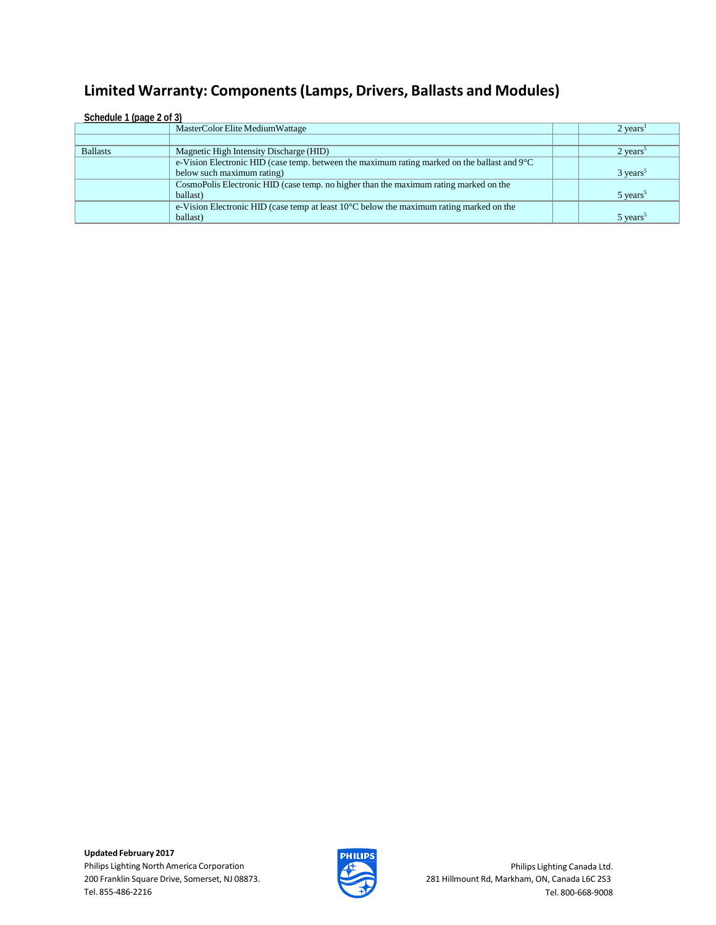| Schedule 1 (page 2 of 3) |                                                                                                       |                        |  |  |
|--------------------------|-------------------------------------------------------------------------------------------------------|------------------------|--|--|
|                          | MasterColor Elite Medium Wattage                                                                      | $2 \text{ years}^1$    |  |  |
|                          |                                                                                                       |                        |  |  |
| <b>Ballasts</b>          | Magnetic High Intensity Discharge (HID)                                                               | $2 \text{ years}^5$    |  |  |
|                          | e-Vision Electronic HID (case temp. between the maximum rating marked on the ballast and $9^{\circ}C$ |                        |  |  |
|                          | below such maximum rating)                                                                            | $3 \text{ years}^5$    |  |  |
|                          | CosmoPolis Electronic HID (case temp. no higher than the maximum rating marked on the                 |                        |  |  |
|                          | ballast)                                                                                              | $5 \text{ years}^5$    |  |  |
|                          | e-Vision Electronic HID (case temp at least $10^{\circ}$ C below the maximum rating marked on the     |                        |  |  |
|                          | ballast)                                                                                              | $5$ years <sup>5</sup> |  |  |

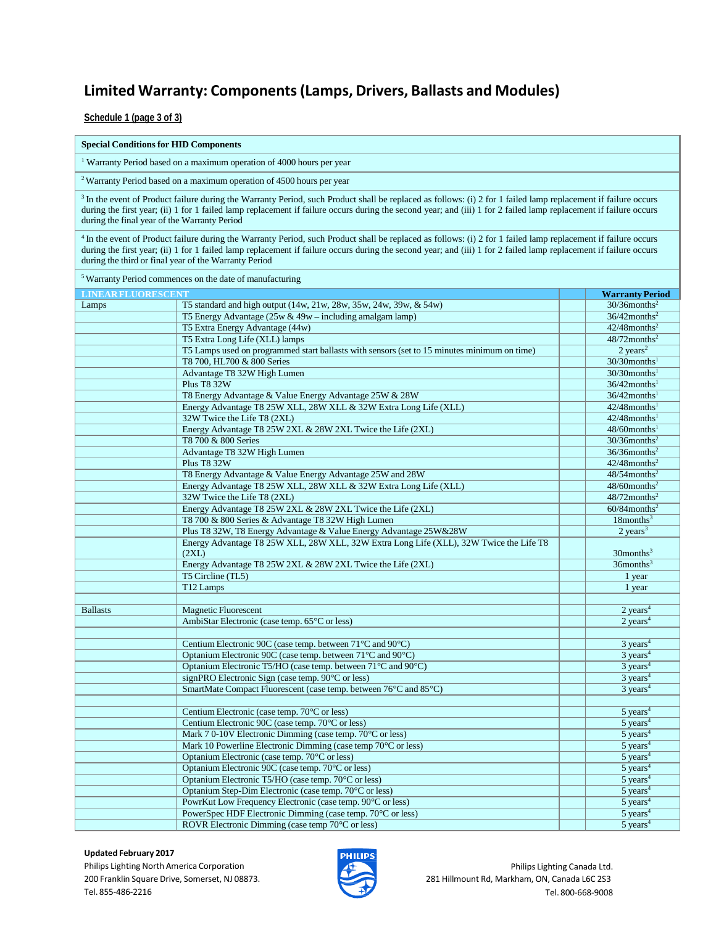**Schedule 1 (page 3 of 3)**

#### **Special Conditionsfor HID Components**

<sup>1</sup> Warranty Period based on a maximum operation of 4000 hours per year

2Warranty Period based on a maximum operation of 4500 hours per year

<sup>3</sup> In the event of Product failure during the Warranty Period, such Product shall be replaced as follows: (i) 2 for 1 failed lamp replacement if failure occurs during the first year; (ii) 1 for 1 failed lamp replacement if failure occurs during the second year; and (iii) 1 for 2 failed lamp replacement if failure occurs during the final year of the Warranty Period

<sup>4</sup> In the event of Product failure during the Warranty Period, such Product shall be replaced as follows: (i) 2 for 1 failed lamp replacement if failure occurs during the first year; (ii) 1 for 1 failed lamp replacement if failure occurs during the second year; and (iii) 1 for 2 failed lamp replacement if failure occurs during the third or final year of the Warranty Period

| <sup>5</sup> Warranty Period commences on the date of manufacturing |                                                                                                 |                             |  |  |  |
|---------------------------------------------------------------------|-------------------------------------------------------------------------------------------------|-----------------------------|--|--|--|
| <b>LINEAR FLUORESCENT</b>                                           |                                                                                                 | <b>Warranty Period</b>      |  |  |  |
| Lamps                                                               | T5 standard and high output (14w, 21w, 28w, 35w, 24w, 39w, & 54w)                               | $30/36$ months <sup>2</sup> |  |  |  |
|                                                                     | T5 Energy Advantage $(25w \& 49w - including amalgam lamp)$                                     | $36/42$ months <sup>2</sup> |  |  |  |
|                                                                     | T5 Extra Energy Advantage (44w)                                                                 | $42/48$ months <sup>2</sup> |  |  |  |
|                                                                     | T5 Extra Long Life (XLL) lamps                                                                  | $48/72$ months <sup>2</sup> |  |  |  |
|                                                                     | T5 Lamps used on programmed start ballasts with sensors (set to 15 minutes minimum on time)     | $2 \text{ years}^2$         |  |  |  |
|                                                                     | T8 700, HL700 & 800 Series                                                                      | $30/30$ months <sup>1</sup> |  |  |  |
|                                                                     | Advantage T8 32W High Lumen                                                                     | $30/30$ months <sup>1</sup> |  |  |  |
|                                                                     | <b>Plus T8 32W</b>                                                                              | $36/42$ months <sup>1</sup> |  |  |  |
|                                                                     | T8 Energy Advantage & Value Energy Advantage 25W & 28W                                          | $36/42$ months <sup>1</sup> |  |  |  |
|                                                                     | Energy Advantage T8 25W XLL, 28W XLL & 32W Extra Long Life (XLL)                                | $42/48$ months <sup>1</sup> |  |  |  |
|                                                                     | 32W Twice the Life T8 (2XL)                                                                     | $42/48$ months <sup>1</sup> |  |  |  |
|                                                                     | Energy Advantage T8 25W 2XL & 28W 2XL Twice the Life (2XL)                                      | $48/60$ months <sup>1</sup> |  |  |  |
|                                                                     | T8 700 & 800 Series                                                                             | $30/36$ months <sup>2</sup> |  |  |  |
|                                                                     | Advantage T8 32W High Lumen                                                                     | $36/36$ months <sup>2</sup> |  |  |  |
|                                                                     | <b>Plus T8 32W</b>                                                                              | $42/48$ months <sup>2</sup> |  |  |  |
|                                                                     | T8 Energy Advantage & Value Energy Advantage 25W and 28W                                        | $48/54$ months <sup>2</sup> |  |  |  |
|                                                                     | Energy Advantage T8 25W XLL, 28W XLL & 32W Extra Long Life (XLL)                                | $48/60$ months <sup>2</sup> |  |  |  |
|                                                                     | 32W Twice the Life T8 (2XL)                                                                     | $48/72$ months <sup>2</sup> |  |  |  |
|                                                                     | Energy Advantage T8 25W 2XL & 28W 2XL Twice the Life (2XL)                                      | $60/84$ months <sup>2</sup> |  |  |  |
|                                                                     | T8 700 & 800 Series & Advantage T8 32W High Lumen                                               | $18$ months <sup>3</sup>    |  |  |  |
|                                                                     | Plus T8 32W, T8 Energy Advantage & Value Energy Advantage 25W&28W                               | $2 \text{ years}^3$         |  |  |  |
|                                                                     | Energy Advantage T8 25W XLL, 28W XLL, 32W Extra Long Life (XLL), 32W Twice the Life T8<br>(2XL) | $30$ months <sup>3</sup>    |  |  |  |
|                                                                     | Energy Advantage T8 25W 2XL & 28W 2XL Twice the Life (2XL)                                      | $36$ months <sup>3</sup>    |  |  |  |
|                                                                     | T5 Circline (TL5)                                                                               | 1 year                      |  |  |  |
|                                                                     | T12 Lamps                                                                                       | 1 year                      |  |  |  |
|                                                                     |                                                                                                 |                             |  |  |  |
| <b>Ballasts</b>                                                     | <b>Magnetic Fluorescent</b>                                                                     | $2$ years <sup>4</sup>      |  |  |  |
|                                                                     | AmbiStar Electronic (case temp. 65°C or less)                                                   | $2$ years <sup>4</sup>      |  |  |  |
|                                                                     |                                                                                                 |                             |  |  |  |
|                                                                     | Centium Electronic 90C (case temp. between $71^{\circ}$ C and 90 $^{\circ}$ C)                  | $3 \text{ years}^4$         |  |  |  |
|                                                                     | Optanium Electronic 90C (case temp. between 71°C and 90°C)                                      | $3 \text{ years}^4$         |  |  |  |
|                                                                     | Optanium Electronic T5/HO (case temp. between 71°C and 90°C)                                    | $3 \text{ years}^4$         |  |  |  |
|                                                                     | signPRO Electronic Sign (case temp. 90°C or less)                                               | $3 \text{ years}^4$         |  |  |  |
|                                                                     | SmartMate Compact Fluorescent (case temp. between 76°C and 85°C)                                | $3$ years <sup>4</sup>      |  |  |  |
|                                                                     |                                                                                                 |                             |  |  |  |
|                                                                     | Centium Electronic (case temp. 70°C or less)                                                    | $5$ years <sup>4</sup>      |  |  |  |
|                                                                     | Centium Electronic 90C (case temp. 70°C or less)                                                | $5$ years <sup>4</sup>      |  |  |  |
|                                                                     | Mark 7 0-10V Electronic Dimming (case temp. 70°C or less)                                       | $5$ years <sup>4</sup>      |  |  |  |
|                                                                     | Mark 10 Powerline Electronic Dimming (case temp 70°C or less)                                   | $5$ years <sup>4</sup>      |  |  |  |
|                                                                     | Optanium Electronic (case temp. 70°C or less)                                                   | $5$ years <sup>4</sup>      |  |  |  |
|                                                                     | Optanium Electronic 90C (case temp. 70°C or less)                                               | $5$ years <sup>4</sup>      |  |  |  |
|                                                                     | Optanium Electronic T5/HO (case temp. 70°C or less)                                             | $5$ years <sup>4</sup>      |  |  |  |
|                                                                     | Optanium Step-Dim Electronic (case temp. 70°C or less)                                          | $5 \text{ years}^4$         |  |  |  |
|                                                                     | PowrKut Low Frequency Electronic (case temp. 90°C or less)                                      | $5 \text{ years}^4$         |  |  |  |
|                                                                     | PowerSpec HDF Electronic Dimming (case temp. 70°C or less)                                      | $5$ years <sup>4</sup>      |  |  |  |
|                                                                     | ROVR Electronic Dimming (case temp 70°C or less)                                                | $5$ years <sup>4</sup>      |  |  |  |

#### **Updated February 2017**

Philips Lighting North America Corporation 200 Franklin Square Drive, Somerset, NJ 08873. Tel. 855‐486‐2216